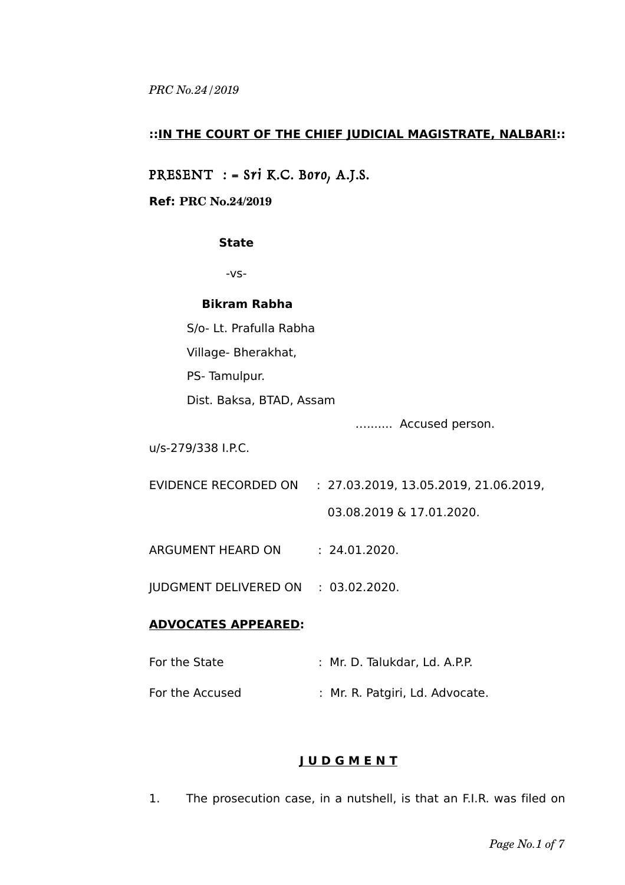### **::IN THE COURT OF THE CHIEF JUDICIAL MAGISTRATE, NALBARI::**

PRESENT : = Sri K.C. Boro, A.J.S.

### **Ref: PRC No.24/2019**

### **State**

-vs-

#### **Bikram Rabha**

S/o- Lt. Prafulla Rabha

Village- Bherakhat,

PS- Tamulpur.

Dist. Baksa, BTAD, Assam

…....... Accused person.

u/s-279/338 I.P.C.

- EVIDENCE RECORDED ON : 27.03.2019, 13.05.2019, 21.06.2019, 03.08.2019 & 17.01.2020.
- ARGUMENT HEARD ON : 24.01.2020.

JUDGMENT DELIVERED ON : 03.02.2020.

### **ADVOCATES APPEARED:**

| For the State   | : Mr. D. Talukdar, Ld. A.P.P.   |
|-----------------|---------------------------------|
| For the Accused | : Mr. R. Patgiri, Ld. Advocate. |

## **J U D G M E N T**

1. The prosecution case, in a nutshell, is that an F.I.R. was filed on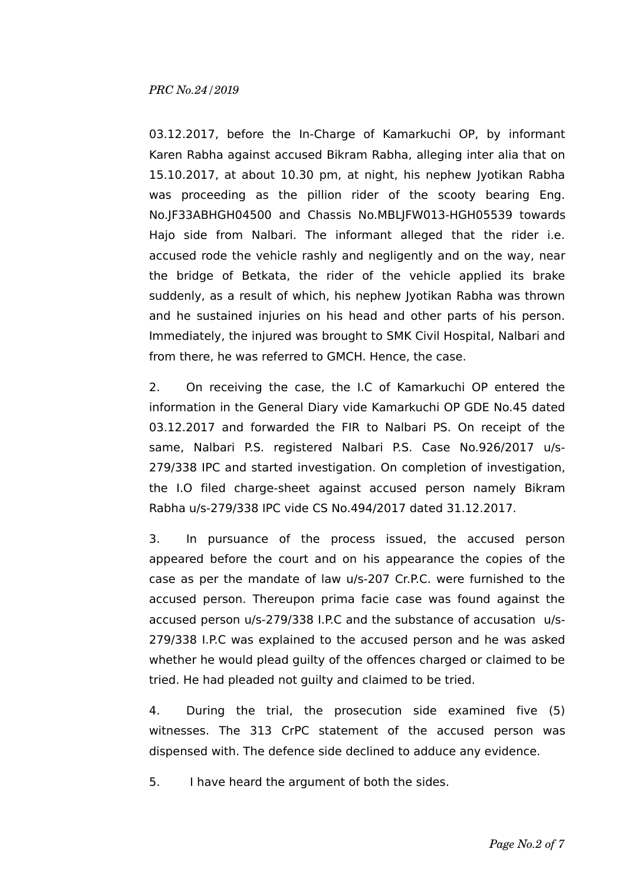03.12.2017, before the In-Charge of Kamarkuchi OP, by informant Karen Rabha against accused Bikram Rabha, alleging inter alia that on 15.10.2017, at about 10.30 pm, at night, his nephew Jyotikan Rabha was proceeding as the pillion rider of the scooty bearing Eng. No.JF33ABHGH04500 and Chassis No.MBLJFW013-HGH05539 towards Hajo side from Nalbari. The informant alleged that the rider i.e. accused rode the vehicle rashly and negligently and on the way, near the bridge of Betkata, the rider of the vehicle applied its brake suddenly, as a result of which, his nephew Jyotikan Rabha was thrown and he sustained injuries on his head and other parts of his person. Immediately, the injured was brought to SMK Civil Hospital, Nalbari and from there, he was referred to GMCH. Hence, the case.

2. On receiving the case, the I.C of Kamarkuchi OP entered the information in the General Diary vide Kamarkuchi OP GDE No.45 dated 03.12.2017 and forwarded the FIR to Nalbari PS. On receipt of the same, Nalbari P.S. registered Nalbari P.S. Case No.926/2017 u/s-279/338 IPC and started investigation. On completion of investigation, the I.O filed charge-sheet against accused person namely Bikram Rabha u/s-279/338 IPC vide CS No.494/2017 dated 31.12.2017.

3. In pursuance of the process issued, the accused person appeared before the court and on his appearance the copies of the case as per the mandate of law u/s-207 Cr.P.C. were furnished to the accused person. Thereupon prima facie case was found against the accused person u/s-279/338 I.P.C and the substance of accusation u/s-279/338 I.P.C was explained to the accused person and he was asked whether he would plead guilty of the offences charged or claimed to be tried. He had pleaded not guilty and claimed to be tried.

4. During the trial, the prosecution side examined five (5) witnesses. The 313 CrPC statement of the accused person was dispensed with. The defence side declined to adduce any evidence.

5. I have heard the argument of both the sides.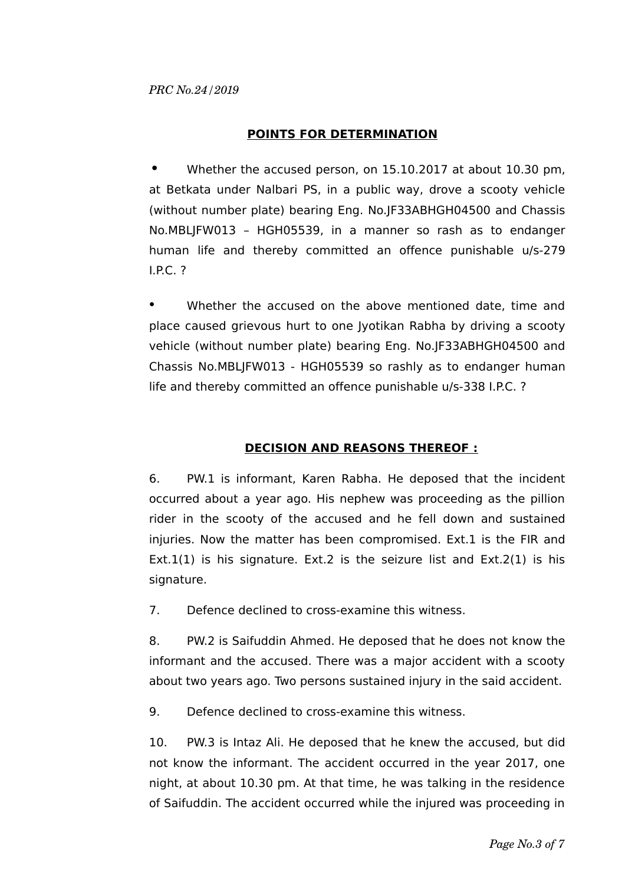## **POINTS FOR DETERMINATION**

**•** Whether the accused person, on 15.10.2017 at about 10.30 pm, at Betkata under Nalbari PS, in a public way, drove a scooty vehicle (without number plate) bearing Eng. No.JF33ABHGH04500 and Chassis No.MBLJFW013 – HGH05539, in a manner so rash as to endanger human life and thereby committed an offence punishable u/s-279 I.P.C. ?

Whether the accused on the above mentioned date, time and place caused grievous hurt to one Jyotikan Rabha by driving a scooty vehicle (without number plate) bearing Eng. No.JF33ABHGH04500 and Chassis No.MBLJFW013 - HGH05539 so rashly as to endanger human life and thereby committed an offence punishable u/s-338 I.P.C. ?

# **DECISION AND REASONS THEREOF :**

6. PW.1 is informant, Karen Rabha. He deposed that the incident occurred about a year ago. His nephew was proceeding as the pillion rider in the scooty of the accused and he fell down and sustained injuries. Now the matter has been compromised. Ext.1 is the FIR and Ext.1(1) is his signature. Ext.2 is the seizure list and  $Ext.2(1)$  is his signature.

7. Defence declined to cross-examine this witness.

8. PW.2 is Saifuddin Ahmed. He deposed that he does not know the informant and the accused. There was a major accident with a scooty about two years ago. Two persons sustained injury in the said accident.

9. Defence declined to cross-examine this witness.

10. PW.3 is Intaz Ali. He deposed that he knew the accused, but did not know the informant. The accident occurred in the year 2017, one night, at about 10.30 pm. At that time, he was talking in the residence of Saifuddin. The accident occurred while the injured was proceeding in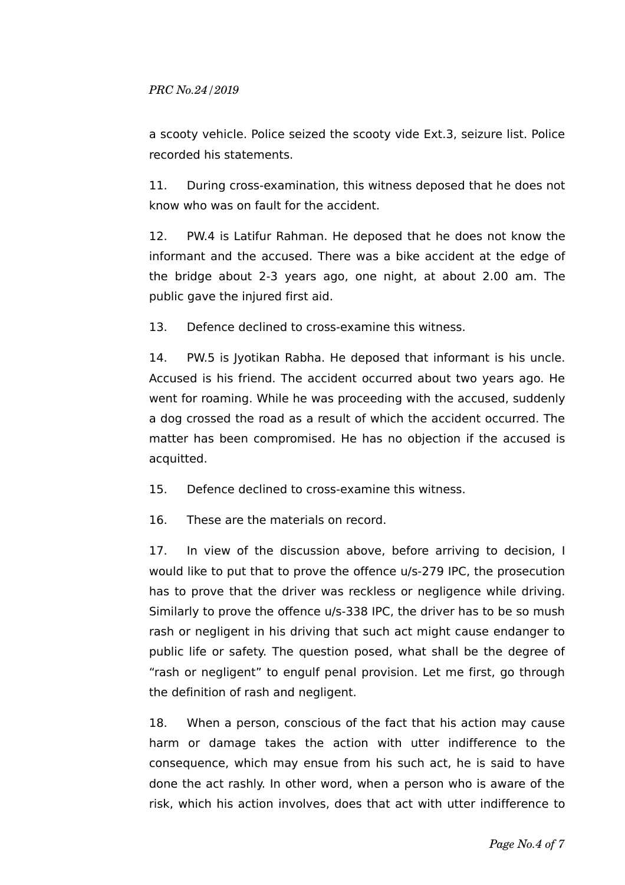a scooty vehicle. Police seized the scooty vide Ext.3, seizure list. Police recorded his statements.

11. During cross-examination, this witness deposed that he does not know who was on fault for the accident.

12. PW.4 is Latifur Rahman. He deposed that he does not know the informant and the accused. There was a bike accident at the edge of the bridge about 2-3 years ago, one night, at about 2.00 am. The public gave the injured first aid.

13. Defence declined to cross-examine this witness.

14. PW.5 is Jyotikan Rabha. He deposed that informant is his uncle. Accused is his friend. The accident occurred about two years ago. He went for roaming. While he was proceeding with the accused, suddenly a dog crossed the road as a result of which the accident occurred. The matter has been compromised. He has no objection if the accused is acquitted.

15. Defence declined to cross-examine this witness.

16. These are the materials on record.

17. In view of the discussion above, before arriving to decision, I would like to put that to prove the offence u/s-279 IPC, the prosecution has to prove that the driver was reckless or negligence while driving. Similarly to prove the offence u/s-338 IPC, the driver has to be so mush rash or negligent in his driving that such act might cause endanger to public life or safety. The question posed, what shall be the degree of "rash or negligent" to engulf penal provision. Let me first, go through the definition of rash and negligent.

18. When a person, conscious of the fact that his action may cause harm or damage takes the action with utter indifference to the consequence, which may ensue from his such act, he is said to have done the act rashly. In other word, when a person who is aware of the risk, which his action involves, does that act with utter indifference to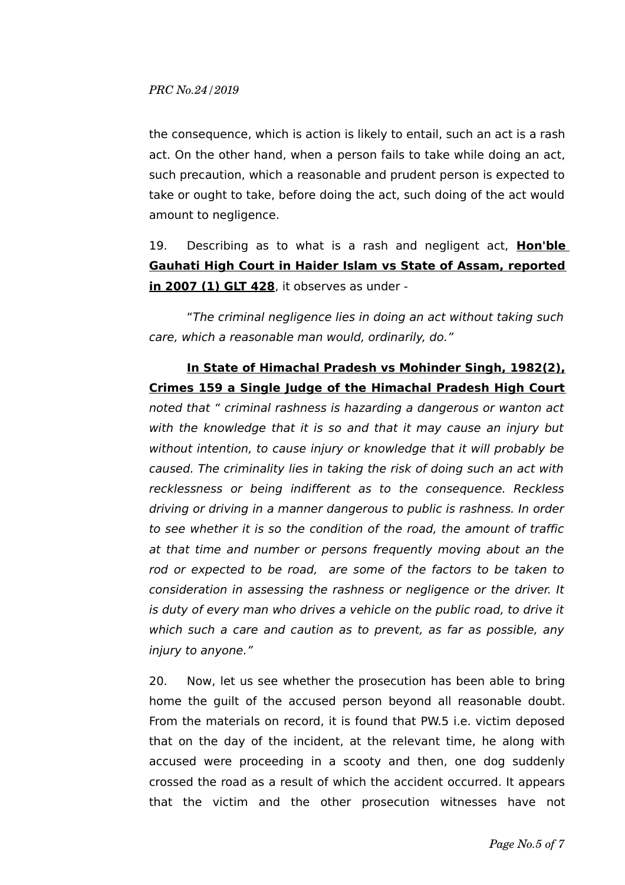the consequence, which is action is likely to entail, such an act is a rash act. On the other hand, when a person fails to take while doing an act, such precaution, which a reasonable and prudent person is expected to take or ought to take, before doing the act, such doing of the act would amount to negligence.

19. Describing as to what is a rash and negligent act, **Hon'ble Gauhati High Court in Haider Islam vs State of Assam, reported in 2007 (1) GLT 428**, it observes as under -

"The criminal negligence lies in doing an act without taking such care, which a reasonable man would, ordinarily, do."

# **In State of Himachal Pradesh vs Mohinder Singh, 1982(2), Crimes 159 a Single Judge of the Himachal Pradesh High Court**

noted that " criminal rashness is hazarding a dangerous or wanton act with the knowledge that it is so and that it may cause an injury but without intention, to cause injury or knowledge that it will probably be caused. The criminality lies in taking the risk of doing such an act with recklessness or being indifferent as to the consequence. Reckless driving or driving in a manner dangerous to public is rashness. In order to see whether it is so the condition of the road, the amount of traffic at that time and number or persons frequently moving about an the rod or expected to be road, are some of the factors to be taken to consideration in assessing the rashness or negligence or the driver. It is duty of every man who drives a vehicle on the public road, to drive it which such a care and caution as to prevent, as far as possible, any injury to anyone."

20. Now, let us see whether the prosecution has been able to bring home the guilt of the accused person beyond all reasonable doubt. From the materials on record, it is found that PW.5 i.e. victim deposed that on the day of the incident, at the relevant time, he along with accused were proceeding in a scooty and then, one dog suddenly crossed the road as a result of which the accident occurred. It appears that the victim and the other prosecution witnesses have not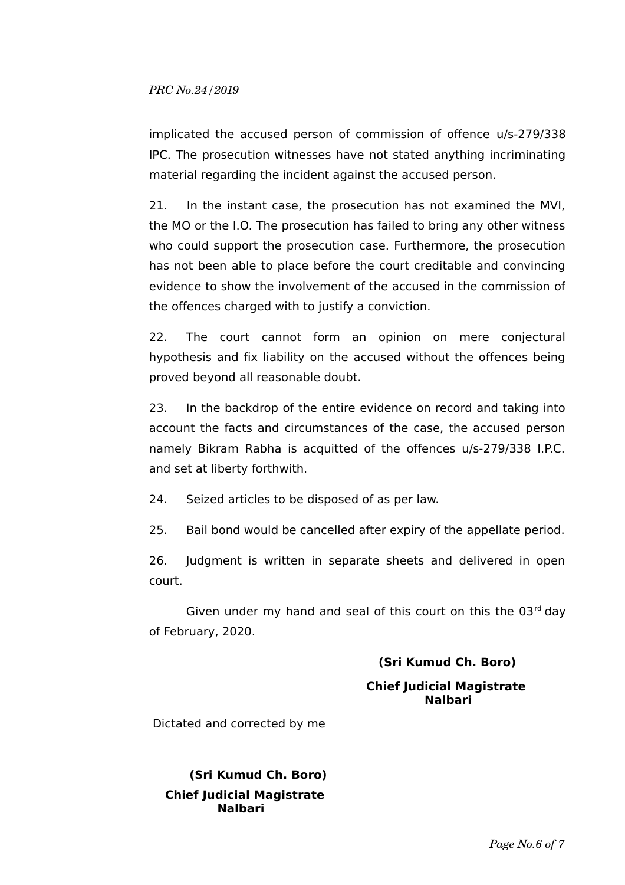implicated the accused person of commission of offence u/s-279/338 IPC. The prosecution witnesses have not stated anything incriminating material regarding the incident against the accused person.

21. In the instant case, the prosecution has not examined the MVI, the MO or the I.O. The prosecution has failed to bring any other witness who could support the prosecution case. Furthermore, the prosecution has not been able to place before the court creditable and convincing evidence to show the involvement of the accused in the commission of the offences charged with to justify a conviction.

22. The court cannot form an opinion on mere conjectural hypothesis and fix liability on the accused without the offences being proved beyond all reasonable doubt.

23. In the backdrop of the entire evidence on record and taking into account the facts and circumstances of the case, the accused person namely Bikram Rabha is acquitted of the offences u/s-279/338 I.P.C. and set at liberty forthwith.

24. Seized articles to be disposed of as per law.

25. Bail bond would be cancelled after expiry of the appellate period.

26. Judgment is written in separate sheets and delivered in open court.

Given under my hand and seal of this court on this the  $03<sup>rd</sup>$  day of February, 2020.

# **(Sri Kumud Ch. Boro)**

## **Chief Judicial Magistrate Nalbari**

Dictated and corrected by me

 **(Sri Kumud Ch. Boro) Chief Judicial Magistrate Nalbari**